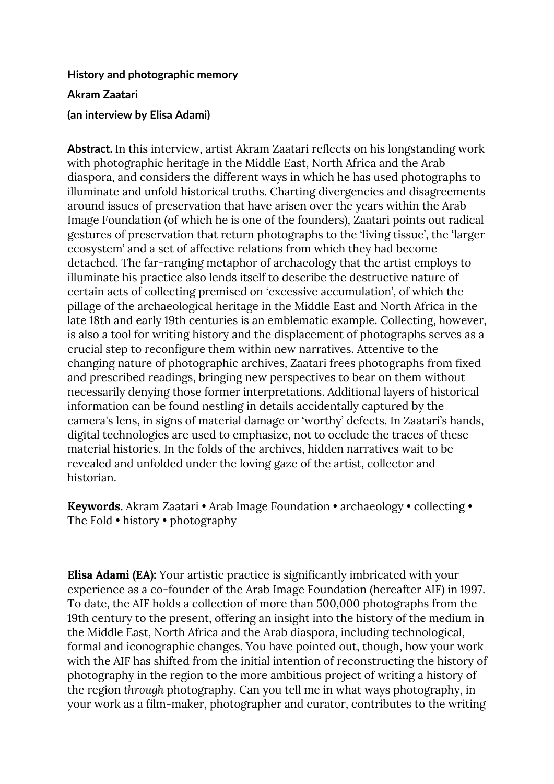**History and photographic memory Akram Zaatari (an interview by Elisa Adami)** 

**Abstract.** In this interview, artist Akram Zaatari reflects on his longstanding work with photographic heritage in the Middle East, North Africa and the Arab diaspora, and considers the different ways in which he has used photographs to illuminate and unfold historical truths. Charting divergencies and disagreements around issues of preservation that have arisen over the years within the Arab Image Foundation (of which he is one of the founders), Zaatari points out radical gestures of preservation that return photographs to the 'living tissue', the 'larger ecosystem' and a set of affective relations from which they had become detached. The far-ranging metaphor of archaeology that the artist employs to illuminate his practice also lends itself to describe the destructive nature of certain acts of collecting premised on 'excessive accumulation', of which the pillage of the archaeological heritage in the Middle East and North Africa in the late 18th and early 19th centuries is an emblematic example. Collecting, however, is also a tool for writing history and the displacement of photographs serves as a crucial step to reconfigure them within new narratives. Attentive to the changing nature of photographic archives, Zaatari frees photographs from fixed and prescribed readings, bringing new perspectives to bear on them without necessarily denying those former interpretations. Additional layers of historical information can be found nestling in details accidentally captured by the camera's lens, in signs of material damage or 'worthy' defects. In Zaatari's hands, digital technologies are used to emphasize, not to occlude the traces of these material histories. In the folds of the archives, hidden narratives wait to be revealed and unfolded under the loving gaze of the artist, collector and historian.

**Keywords.** Akram Zaatari • Arab Image Foundation • archaeology • collecting • The Fold • history • photography

**Elisa Adami (EA):** Your artistic practice is significantly imbricated with your experience as a co-founder of the Arab Image Foundation (hereafter AIF) in 1997. To date, the AIF holds a collection of more than 500,000 photographs from the 19th century to the present, offering an insight into the history of the medium in the Middle East, North Africa and the Arab diaspora, including technological, formal and iconographic changes. You have pointed out, though, how your work with the AIF has shifted from the initial intention of reconstructing the history of photography in the region to the more ambitious project of writing a history of the region *through* photography. Can you tell me in what ways photography, in your work as a film-maker, photographer and curator, contributes to the writing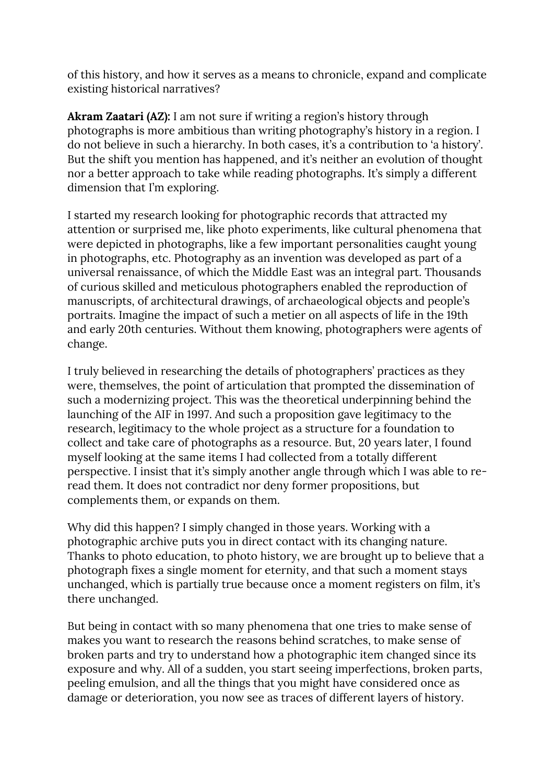of this history, and how it serves as a means to chronicle, expand and complicate existing historical narratives?

**Akram Zaatari (AZ):** I am not sure if writing a region's history through photographs is more ambitious than writing photography's history in a region. I do not believe in such a hierarchy. In both cases, it's a contribution to 'a history'. But the shift you mention has happened, and it's neither an evolution of thought nor a better approach to take while reading photographs. It's simply a different dimension that I'm exploring.

I started my research looking for photographic records that attracted my attention or surprised me, like photo experiments, like cultural phenomena that were depicted in photographs, like a few important personalities caught young in photographs, etc. Photography as an invention was developed as part of a universal renaissance, of which the Middle East was an integral part. Thousands of curious skilled and meticulous photographers enabled the reproduction of manuscripts, of architectural drawings, of archaeological objects and people's portraits. Imagine the impact of such a metier on all aspects of life in the 19th and early 20th centuries. Without them knowing, photographers were agents of change.

I truly believed in researching the details of photographers' practices as they were, themselves, the point of articulation that prompted the dissemination of such a modernizing project. This was the theoretical underpinning behind the launching of the AIF in 1997. And such a proposition gave legitimacy to the research, legitimacy to the whole project as a structure for a foundation to collect and take care of photographs as a resource. But, 20 years later, I found myself looking at the same items I had collected from a totally different perspective. I insist that it's simply another angle through which I was able to reread them. It does not contradict nor deny former propositions, but complements them, or expands on them.

Why did this happen? I simply changed in those years. Working with a photographic archive puts you in direct contact with its changing nature. Thanks to photo education, to photo history, we are brought up to believe that a photograph fixes a single moment for eternity, and that such a moment stays unchanged, which is partially true because once a moment registers on film, it's there unchanged.

But being in contact with so many phenomena that one tries to make sense of makes you want to research the reasons behind scratches, to make sense of broken parts and try to understand how a photographic item changed since its exposure and why. All of a sudden, you start seeing imperfections, broken parts, peeling emulsion, and all the things that you might have considered once as damage or deterioration, you now see as traces of different layers of history.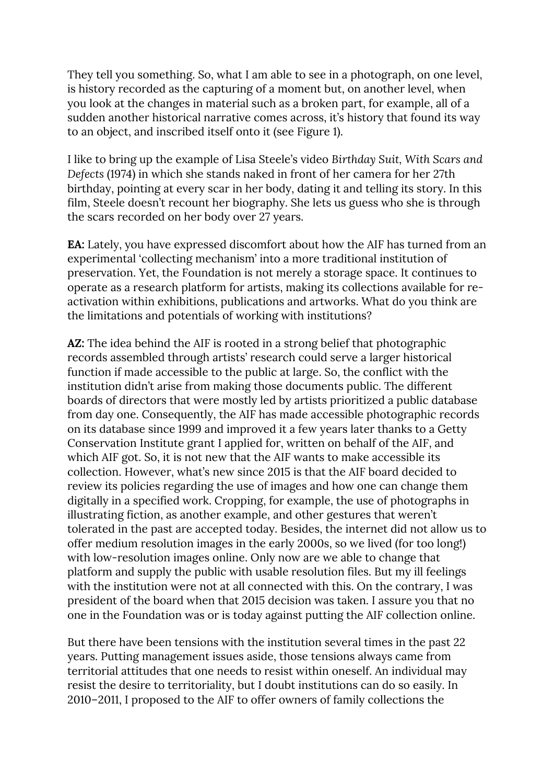They tell you something. So, what I am able to see in a photograph, on one level, is history recorded as the capturing of a moment but, on another level, when you look at the changes in material such as a broken part, for example, all of a sudden another historical narrative comes across, it's history that found its way to an object, and inscribed itself onto it (see Figure 1).

I like to bring up the example of Lisa Steele's video *Birthday Suit, With Scars and Defects* (1974) in which she stands naked in front of her camera for her 27th birthday, pointing at every scar in her body, dating it and telling its story. In this film, Steele doesn't recount her biography. She lets us guess who she is through the scars recorded on her body over 27 years.

**EA:** Lately, you have expressed discomfort about how the AIF has turned from an experimental 'collecting mechanism' into a more traditional institution of preservation. Yet, the Foundation is not merely a storage space. It continues to operate as a research platform for artists, making its collections available for reactivation within exhibitions, publications and artworks. What do you think are the limitations and potentials of working with institutions?

**AZ:** The idea behind the AIF is rooted in a strong belief that photographic records assembled through artists' research could serve a larger historical function if made accessible to the public at large. So, the conflict with the institution didn't arise from making those documents public. The different boards of directors that were mostly led by artists prioritized a public database from day one. Consequently, the AIF has made accessible photographic records on its database since 1999 and improved it a few years later thanks to a Getty Conservation Institute grant I applied for, written on behalf of the AIF, and which AIF got. So, it is not new that the AIF wants to make accessible its collection. However, what's new since 2015 is that the AIF board decided to review its policies regarding the use of images and how one can change them digitally in a specified work. Cropping, for example, the use of photographs in illustrating fiction, as another example, and other gestures that weren't tolerated in the past are accepted today. Besides, the internet did not allow us to offer medium resolution images in the early 2000s, so we lived (for too long!) with low-resolution images online. Only now are we able to change that platform and supply the public with usable resolution files. But my ill feelings with the institution were not at all connected with this. On the contrary, I was president of the board when that 2015 decision was taken. I assure you that no one in the Foundation was or is today against putting the AIF collection online.

But there have been tensions with the institution several times in the past 22 years. Putting management issues aside, those tensions always came from territorial attitudes that one needs to resist within oneself. An individual may resist the desire to territoriality, but I doubt institutions can do so easily. In 2010–2011, I proposed to the AIF to offer owners of family collections the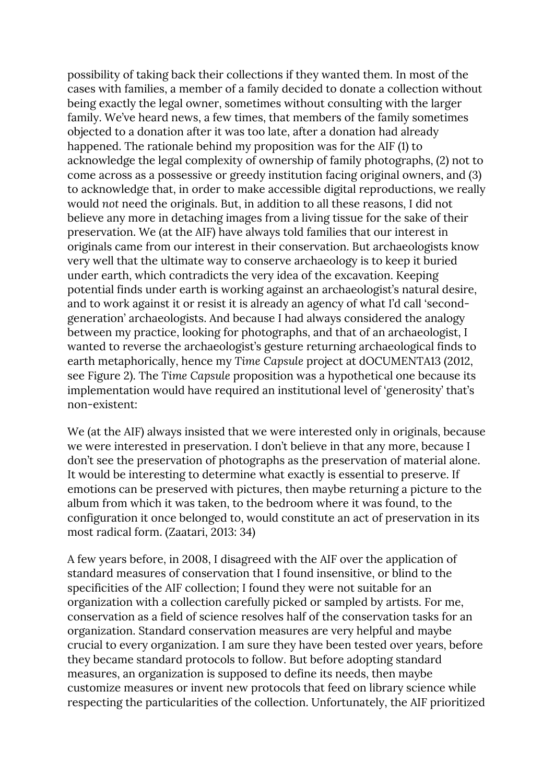possibility of taking back their collections if they wanted them. In most of the cases with families, a member of a family decided to donate a collection without being exactly the legal owner, sometimes without consulting with the larger family. We've heard news, a few times, that members of the family sometimes objected to a donation after it was too late, after a donation had already happened. The rationale behind my proposition was for the AIF (1) to acknowledge the legal complexity of ownership of family photographs, (2) not to come across as a possessive or greedy institution facing original owners, and (3) to acknowledge that, in order to make accessible digital reproductions, we really would *not* need the originals. But, in addition to all these reasons, I did not believe any more in detaching images from a living tissue for the sake of their preservation. We (at the AIF) have always told families that our interest in originals came from our interest in their conservation. But archaeologists know very well that the ultimate way to conserve archaeology is to keep it buried under earth, which contradicts the very idea of the excavation. Keeping potential finds under earth is working against an archaeologist's natural desire, and to work against it or resist it is already an agency of what I'd call 'secondgeneration' archaeologists. And because I had always considered the analogy between my practice, looking for photographs, and that of an archaeologist, I wanted to reverse the archaeologist's gesture returning archaeological finds to earth metaphorically, hence my *Time Capsule* project at dOCUMENTA13 (2012, see Figure 2). The *Time Capsule* proposition was a hypothetical one because its implementation would have required an institutional level of 'generosity' that's non-existent:

We (at the AIF) always insisted that we were interested only in originals, because we were interested in preservation. I don't believe in that any more, because I don't see the preservation of photographs as the preservation of material alone. It would be interesting to determine what exactly is essential to preserve. If emotions can be preserved with pictures, then maybe returning a picture to the album from which it was taken, to the bedroom where it was found, to the configuration it once belonged to, would constitute an act of preservation in its most radical form. (Zaatari, 2013: 34)

A few years before, in 2008, I disagreed with the AIF over the application of standard measures of conservation that I found insensitive, or blind to the specificities of the AIF collection; I found they were not suitable for an organization with a collection carefully picked or sampled by artists. For me, conservation as a field of science resolves half of the conservation tasks for an organization. Standard conservation measures are very helpful and maybe crucial to every organization. I am sure they have been tested over years, before they became standard protocols to follow. But before adopting standard measures, an organization is supposed to define its needs, then maybe customize measures or invent new protocols that feed on library science while respecting the particularities of the collection. Unfortunately, the AIF prioritized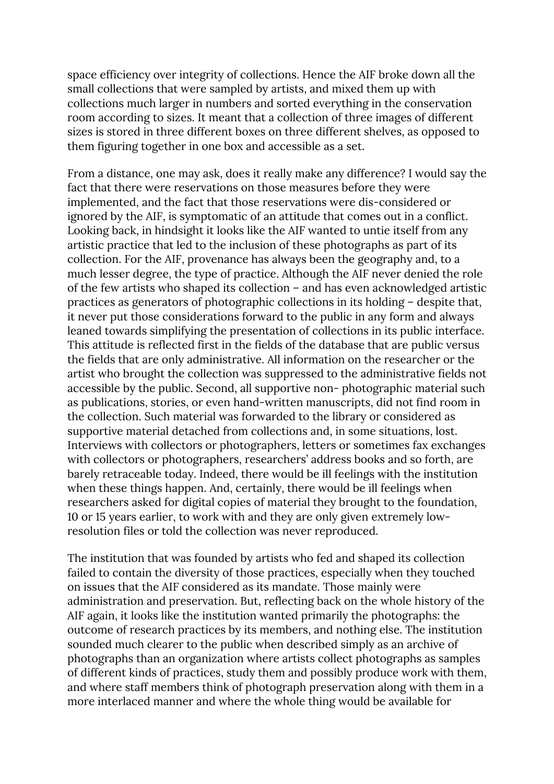space efficiency over integrity of collections. Hence the AIF broke down all the small collections that were sampled by artists, and mixed them up with collections much larger in numbers and sorted everything in the conservation room according to sizes. It meant that a collection of three images of different sizes is stored in three different boxes on three different shelves, as opposed to them figuring together in one box and accessible as a set.

From a distance, one may ask, does it really make any difference? I would say the fact that there were reservations on those measures before they were implemented, and the fact that those reservations were dis-considered or ignored by the AIF, is symptomatic of an attitude that comes out in a conflict. Looking back, in hindsight it looks like the AIF wanted to untie itself from any artistic practice that led to the inclusion of these photographs as part of its collection. For the AIF, provenance has always been the geography and, to a much lesser degree, the type of practice. Although the AIF never denied the role of the few artists who shaped its collection – and has even acknowledged artistic practices as generators of photographic collections in its holding – despite that, it never put those considerations forward to the public in any form and always leaned towards simplifying the presentation of collections in its public interface. This attitude is reflected first in the fields of the database that are public versus the fields that are only administrative. All information on the researcher or the artist who brought the collection was suppressed to the administrative fields not accessible by the public. Second, all supportive non- photographic material such as publications, stories, or even hand-written manuscripts, did not find room in the collection. Such material was forwarded to the library or considered as supportive material detached from collections and, in some situations, lost. Interviews with collectors or photographers, letters or sometimes fax exchanges with collectors or photographers, researchers' address books and so forth, are barely retraceable today. Indeed, there would be ill feelings with the institution when these things happen. And, certainly, there would be ill feelings when researchers asked for digital copies of material they brought to the foundation, 10 or 15 years earlier, to work with and they are only given extremely lowresolution files or told the collection was never reproduced.

The institution that was founded by artists who fed and shaped its collection failed to contain the diversity of those practices, especially when they touched on issues that the AIF considered as its mandate. Those mainly were administration and preservation. But, reflecting back on the whole history of the AIF again, it looks like the institution wanted primarily the photographs: the outcome of research practices by its members, and nothing else. The institution sounded much clearer to the public when described simply as an archive of photographs than an organization where artists collect photographs as samples of different kinds of practices, study them and possibly produce work with them, and where staff members think of photograph preservation along with them in a more interlaced manner and where the whole thing would be available for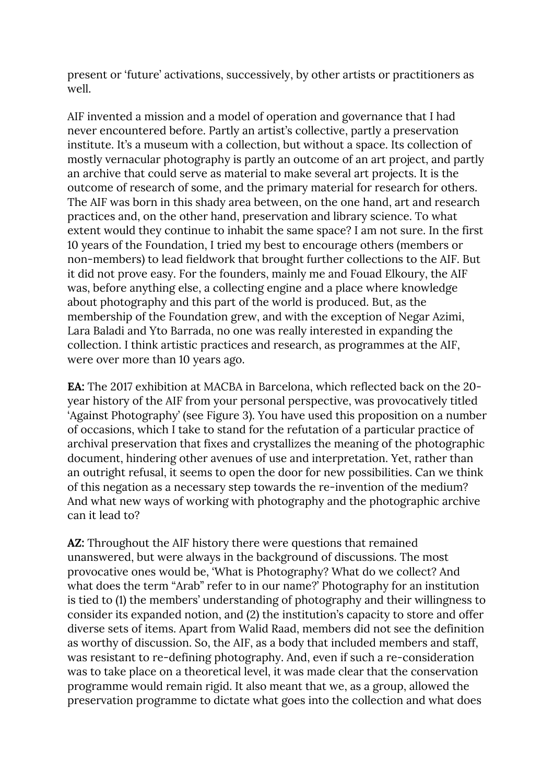present or 'future' activations, successively, by other artists or practitioners as well.

AIF invented a mission and a model of operation and governance that I had never encountered before. Partly an artist's collective, partly a preservation institute. It's a museum with a collection, but without a space. Its collection of mostly vernacular photography is partly an outcome of an art project, and partly an archive that could serve as material to make several art projects. It is the outcome of research of some, and the primary material for research for others. The AIF was born in this shady area between, on the one hand, art and research practices and, on the other hand, preservation and library science. To what extent would they continue to inhabit the same space? I am not sure. In the first 10 years of the Foundation, I tried my best to encourage others (members or non-members) to lead fieldwork that brought further collections to the AIF. But it did not prove easy. For the founders, mainly me and Fouad Elkoury, the AIF was, before anything else, a collecting engine and a place where knowledge about photography and this part of the world is produced. But, as the membership of the Foundation grew, and with the exception of Negar Azimi, Lara Baladi and Yto Barrada, no one was really interested in expanding the collection. I think artistic practices and research, as programmes at the AIF, were over more than 10 years ago.

**EA:** The 2017 exhibition at MACBA in Barcelona, which reflected back on the 20 year history of the AIF from your personal perspective, was provocatively titled 'Against Photography' (see Figure 3). You have used this proposition on a number of occasions, which I take to stand for the refutation of a particular practice of archival preservation that fixes and crystallizes the meaning of the photographic document, hindering other avenues of use and interpretation. Yet, rather than an outright refusal, it seems to open the door for new possibilities. Can we think of this negation as a necessary step towards the re-invention of the medium? And what new ways of working with photography and the photographic archive can it lead to?

**AZ:** Throughout the AIF history there were questions that remained unanswered, but were always in the background of discussions. The most provocative ones would be, 'What is Photography? What do we collect? And what does the term "Arab" refer to in our name?' Photography for an institution is tied to (1) the members' understanding of photography and their willingness to consider its expanded notion, and (2) the institution's capacity to store and offer diverse sets of items. Apart from Walid Raad, members did not see the definition as worthy of discussion. So, the AIF, as a body that included members and staff, was resistant to re-defining photography. And, even if such a re-consideration was to take place on a theoretical level, it was made clear that the conservation programme would remain rigid. It also meant that we, as a group, allowed the preservation programme to dictate what goes into the collection and what does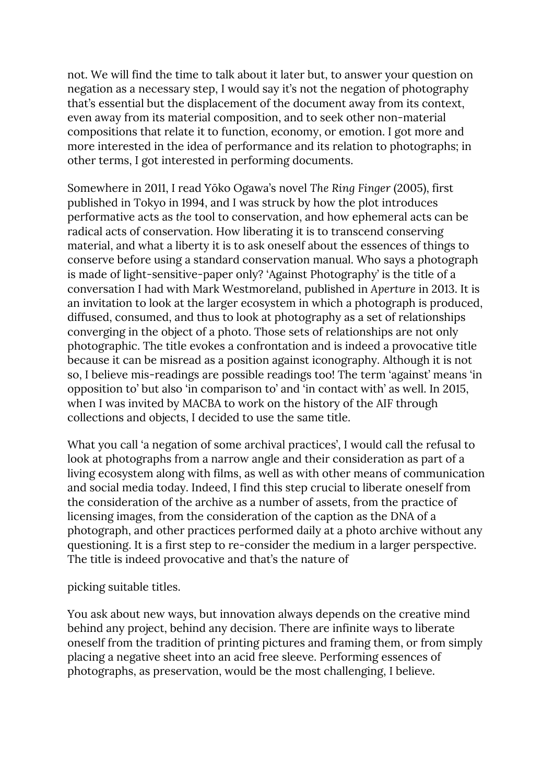not. We will find the time to talk about it later but, to answer your question on negation as a necessary step, I would say it's not the negation of photography that's essential but the displacement of the document away from its context, even away from its material composition, and to seek other non-material compositions that relate it to function, economy, or emotion. I got more and more interested in the idea of performance and its relation to photographs; in other terms, I got interested in performing documents.

Somewhere in 2011, I read Yōko Ogawa's novel *The Ring Finger* (2005), first published in Tokyo in 1994, and I was struck by how the plot introduces performative acts as *the* tool to conservation, and how ephemeral acts can be radical acts of conservation. How liberating it is to transcend conserving material, and what a liberty it is to ask oneself about the essences of things to conserve before using a standard conservation manual. Who says a photograph is made of light-sensitive-paper only? 'Against Photography' is the title of a conversation I had with Mark Westmoreland, published in *Aperture* in 2013. It is an invitation to look at the larger ecosystem in which a photograph is produced, diffused, consumed, and thus to look at photography as a set of relationships converging in the object of a photo. Those sets of relationships are not only photographic. The title evokes a confrontation and is indeed a provocative title because it can be misread as a position against iconography. Although it is not so, I believe mis-readings are possible readings too! The term 'against' means 'in opposition to' but also 'in comparison to' and 'in contact with' as well. In 2015, when I was invited by MACBA to work on the history of the AIF through collections and objects, I decided to use the same title.

What you call 'a negation of some archival practices', I would call the refusal to look at photographs from a narrow angle and their consideration as part of a living ecosystem along with films, as well as with other means of communication and social media today. Indeed, I find this step crucial to liberate oneself from the consideration of the archive as a number of assets, from the practice of licensing images, from the consideration of the caption as the DNA of a photograph, and other practices performed daily at a photo archive without any questioning. It is a first step to re-consider the medium in a larger perspective. The title is indeed provocative and that's the nature of

picking suitable titles.

You ask about new ways, but innovation always depends on the creative mind behind any project, behind any decision. There are infinite ways to liberate oneself from the tradition of printing pictures and framing them, or from simply placing a negative sheet into an acid free sleeve. Performing essences of photographs, as preservation, would be the most challenging, I believe.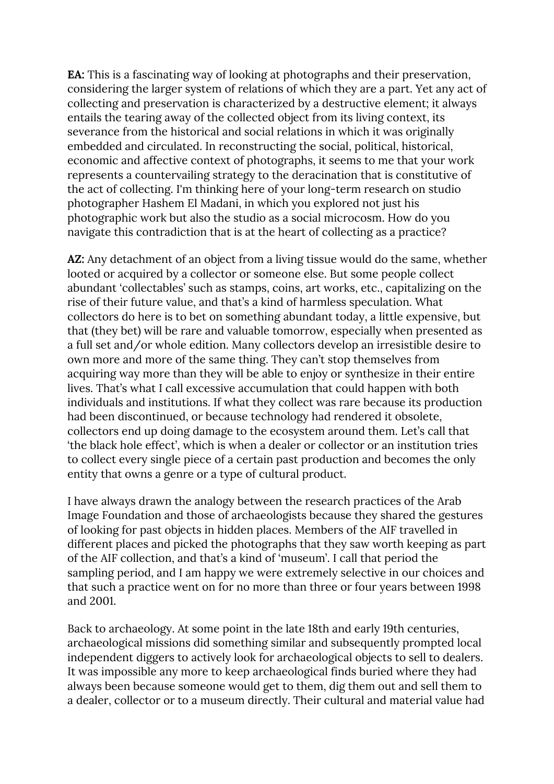**EA:** This is a fascinating way of looking at photographs and their preservation, considering the larger system of relations of which they are a part. Yet any act of collecting and preservation is characterized by a destructive element; it always entails the tearing away of the collected object from its living context, its severance from the historical and social relations in which it was originally embedded and circulated. In reconstructing the social, political, historical, economic and affective context of photographs, it seems to me that your work represents a countervailing strategy to the deracination that is constitutive of the act of collecting. I'm thinking here of your long-term research on studio photographer Hashem El Madani, in which you explored not just his photographic work but also the studio as a social microcosm. How do you navigate this contradiction that is at the heart of collecting as a practice?

**AZ:** Any detachment of an object from a living tissue would do the same, whether looted or acquired by a collector or someone else. But some people collect abundant 'collectables' such as stamps, coins, art works, etc., capitalizing on the rise of their future value, and that's a kind of harmless speculation. What collectors do here is to bet on something abundant today, a little expensive, but that (they bet) will be rare and valuable tomorrow, especially when presented as a full set and/or whole edition. Many collectors develop an irresistible desire to own more and more of the same thing. They can't stop themselves from acquiring way more than they will be able to enjoy or synthesize in their entire lives. That's what I call excessive accumulation that could happen with both individuals and institutions. If what they collect was rare because its production had been discontinued, or because technology had rendered it obsolete, collectors end up doing damage to the ecosystem around them. Let's call that 'the black hole effect', which is when a dealer or collector or an institution tries to collect every single piece of a certain past production and becomes the only entity that owns a genre or a type of cultural product.

I have always drawn the analogy between the research practices of the Arab Image Foundation and those of archaeologists because they shared the gestures of looking for past objects in hidden places. Members of the AIF travelled in different places and picked the photographs that they saw worth keeping as part of the AIF collection, and that's a kind of 'museum'. I call that period the sampling period, and I am happy we were extremely selective in our choices and that such a practice went on for no more than three or four years between 1998 and 2001.

Back to archaeology. At some point in the late 18th and early 19th centuries, archaeological missions did something similar and subsequently prompted local independent diggers to actively look for archaeological objects to sell to dealers. It was impossible any more to keep archaeological finds buried where they had always been because someone would get to them, dig them out and sell them to a dealer, collector or to a museum directly. Their cultural and material value had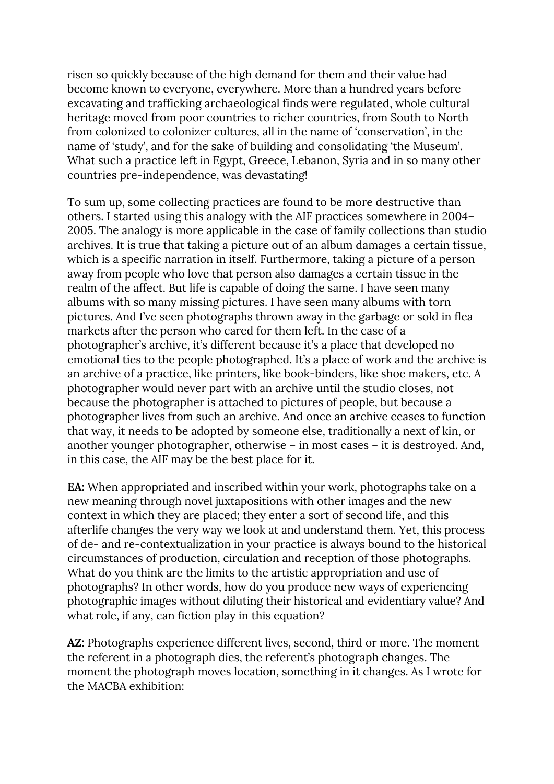risen so quickly because of the high demand for them and their value had become known to everyone, everywhere. More than a hundred years before excavating and trafficking archaeological finds were regulated, whole cultural heritage moved from poor countries to richer countries, from South to North from colonized to colonizer cultures, all in the name of 'conservation', in the name of 'study', and for the sake of building and consolidating 'the Museum'. What such a practice left in Egypt, Greece, Lebanon, Syria and in so many other countries pre-independence, was devastating!

To sum up, some collecting practices are found to be more destructive than others. I started using this analogy with the AIF practices somewhere in 2004– 2005. The analogy is more applicable in the case of family collections than studio archives. It is true that taking a picture out of an album damages a certain tissue, which is a specific narration in itself. Furthermore, taking a picture of a person away from people who love that person also damages a certain tissue in the realm of the affect. But life is capable of doing the same. I have seen many albums with so many missing pictures. I have seen many albums with torn pictures. And I've seen photographs thrown away in the garbage or sold in flea markets after the person who cared for them left. In the case of a photographer's archive, it's different because it's a place that developed no emotional ties to the people photographed. It's a place of work and the archive is an archive of a practice, like printers, like book-binders, like shoe makers, etc. A photographer would never part with an archive until the studio closes, not because the photographer is attached to pictures of people, but because a photographer lives from such an archive. And once an archive ceases to function that way, it needs to be adopted by someone else, traditionally a next of kin, or another younger photographer, otherwise – in most cases – it is destroyed. And, in this case, the AIF may be the best place for it.

**EA:** When appropriated and inscribed within your work, photographs take on a new meaning through novel juxtapositions with other images and the new context in which they are placed; they enter a sort of second life, and this afterlife changes the very way we look at and understand them. Yet, this process of de- and re-contextualization in your practice is always bound to the historical circumstances of production, circulation and reception of those photographs. What do you think are the limits to the artistic appropriation and use of photographs? In other words, how do you produce new ways of experiencing photographic images without diluting their historical and evidentiary value? And what role, if any, can fiction play in this equation?

**AZ:** Photographs experience different lives, second, third or more. The moment the referent in a photograph dies, the referent's photograph changes. The moment the photograph moves location, something in it changes. As I wrote for the MACBA exhibition: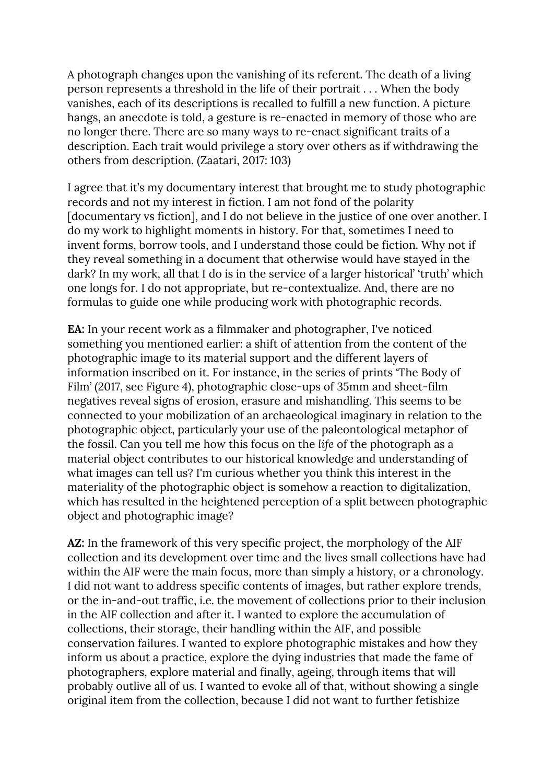A photograph changes upon the vanishing of its referent. The death of a living person represents a threshold in the life of their portrait . . . When the body vanishes, each of its descriptions is recalled to fulfill a new function. A picture hangs, an anecdote is told, a gesture is re-enacted in memory of those who are no longer there. There are so many ways to re-enact significant traits of a description. Each trait would privilege a story over others as if withdrawing the others from description. (Zaatari, 2017: 103)

I agree that it's my documentary interest that brought me to study photographic records and not my interest in fiction. I am not fond of the polarity [documentary vs fiction], and I do not believe in the justice of one over another. I do my work to highlight moments in history. For that, sometimes I need to invent forms, borrow tools, and I understand those could be fiction. Why not if they reveal something in a document that otherwise would have stayed in the dark? In my work, all that I do is in the service of a larger historical' 'truth' which one longs for. I do not appropriate, but re-contextualize. And, there are no formulas to guide one while producing work with photographic records.

**EA:** In your recent work as a filmmaker and photographer, I've noticed something you mentioned earlier: a shift of attention from the content of the photographic image to its material support and the different layers of information inscribed on it. For instance, in the series of prints 'The Body of Film' (2017, see Figure 4), photographic close-ups of 35mm and sheet-film negatives reveal signs of erosion, erasure and mishandling. This seems to be connected to your mobilization of an archaeological imaginary in relation to the photographic object, particularly your use of the paleontological metaphor of the fossil. Can you tell me how this focus on the *life* of the photograph as a material object contributes to our historical knowledge and understanding of what images can tell us? I'm curious whether you think this interest in the materiality of the photographic object is somehow a reaction to digitalization, which has resulted in the heightened perception of a split between photographic object and photographic image?

**AZ:** In the framework of this very specific project, the morphology of the AIF collection and its development over time and the lives small collections have had within the AIF were the main focus, more than simply a history, or a chronology. I did not want to address specific contents of images, but rather explore trends, or the in-and-out traffic, i.e. the movement of collections prior to their inclusion in the AIF collection and after it. I wanted to explore the accumulation of collections, their storage, their handling within the AIF, and possible conservation failures. I wanted to explore photographic mistakes and how they inform us about a practice, explore the dying industries that made the fame of photographers, explore material and finally, ageing, through items that will probably outlive all of us. I wanted to evoke all of that, without showing a single original item from the collection, because I did not want to further fetishize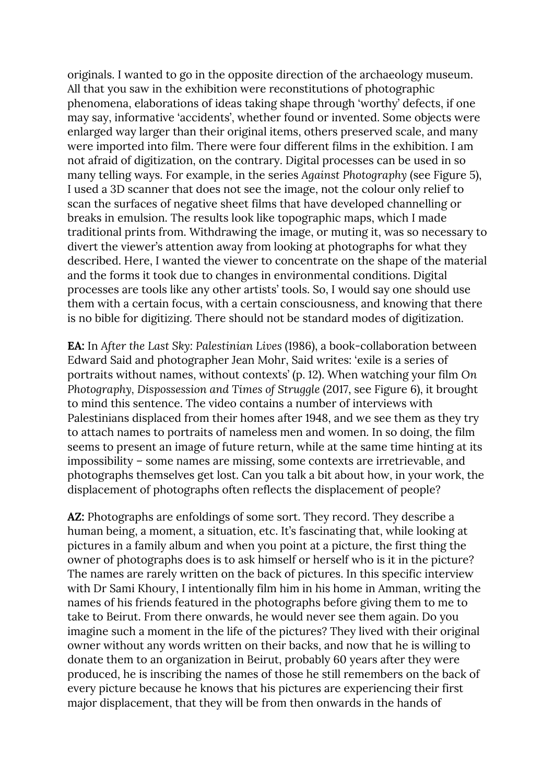originals. I wanted to go in the opposite direction of the archaeology museum. All that you saw in the exhibition were reconstitutions of photographic phenomena, elaborations of ideas taking shape through 'worthy' defects, if one may say, informative 'accidents', whether found or invented. Some objects were enlarged way larger than their original items, others preserved scale, and many were imported into film. There were four different films in the exhibition. I am not afraid of digitization, on the contrary. Digital processes can be used in so many telling ways. For example, in the series *Against Photography* (see Figure 5), I used a 3D scanner that does not see the image, not the colour only relief to scan the surfaces of negative sheet films that have developed channelling or breaks in emulsion. The results look like topographic maps, which I made traditional prints from. Withdrawing the image, or muting it, was so necessary to divert the viewer's attention away from looking at photographs for what they described. Here, I wanted the viewer to concentrate on the shape of the material and the forms it took due to changes in environmental conditions. Digital processes are tools like any other artists' tools. So, I would say one should use them with a certain focus, with a certain consciousness, and knowing that there is no bible for digitizing. There should not be standard modes of digitization.

**EA:** In *After the Last Sky: Palestinian Lives* (1986), a book-collaboration between Edward Said and photographer Jean Mohr, Said writes: 'exile is a series of portraits without names, without contexts' (p. 12). When watching your film *On Photography, Dispossession and Times of Struggle* (2017, see Figure 6), it brought to mind this sentence. The video contains a number of interviews with Palestinians displaced from their homes after 1948, and we see them as they try to attach names to portraits of nameless men and women. In so doing, the film seems to present an image of future return, while at the same time hinting at its impossibility – some names are missing, some contexts are irretrievable, and photographs themselves get lost. Can you talk a bit about how, in your work, the displacement of photographs often reflects the displacement of people?

**AZ:** Photographs are enfoldings of some sort. They record. They describe a human being, a moment, a situation, etc. It's fascinating that, while looking at pictures in a family album and when you point at a picture, the first thing the owner of photographs does is to ask himself or herself who is it in the picture? The names are rarely written on the back of pictures. In this specific interview with Dr Sami Khoury, I intentionally film him in his home in Amman, writing the names of his friends featured in the photographs before giving them to me to take to Beirut. From there onwards, he would never see them again. Do you imagine such a moment in the life of the pictures? They lived with their original owner without any words written on their backs, and now that he is willing to donate them to an organization in Beirut, probably 60 years after they were produced, he is inscribing the names of those he still remembers on the back of every picture because he knows that his pictures are experiencing their first major displacement, that they will be from then onwards in the hands of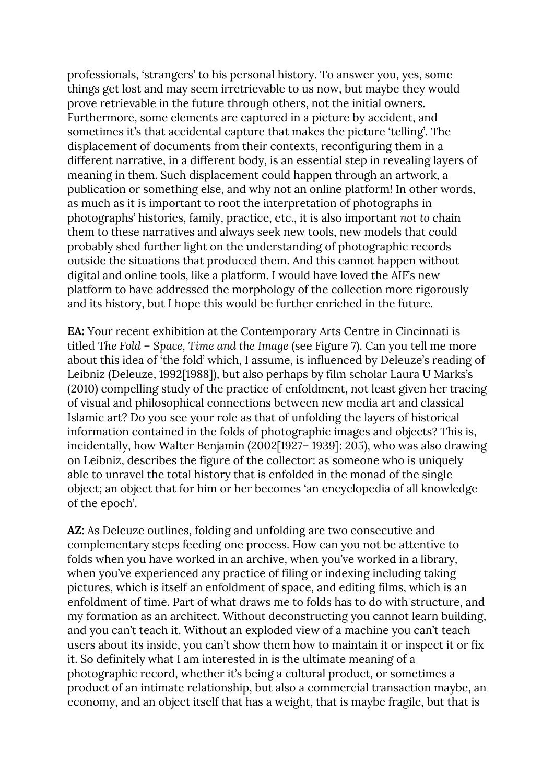professionals, 'strangers' to his personal history. To answer you, yes, some things get lost and may seem irretrievable to us now, but maybe they would prove retrievable in the future through others, not the initial owners. Furthermore, some elements are captured in a picture by accident, and sometimes it's that accidental capture that makes the picture 'telling'. The displacement of documents from their contexts, reconfiguring them in a different narrative, in a different body, is an essential step in revealing layers of meaning in them. Such displacement could happen through an artwork, a publication or something else, and why not an online platform! In other words, as much as it is important to root the interpretation of photographs in photographs' histories, family, practice, etc., it is also important *not to* chain them to these narratives and always seek new tools, new models that could probably shed further light on the understanding of photographic records outside the situations that produced them. And this cannot happen without digital and online tools, like a platform. I would have loved the AIF's new platform to have addressed the morphology of the collection more rigorously and its history, but I hope this would be further enriched in the future.

**EA:** Your recent exhibition at the Contemporary Arts Centre in Cincinnati is titled *The Fold – Space, Time and the Image* (see Figure 7). Can you tell me more about this idea of 'the fold' which, I assume, is influenced by Deleuze's reading of Leibniz (Deleuze, 1992[1988]), but also perhaps by film scholar Laura U Marks's (2010) compelling study of the practice of enfoldment, not least given her tracing of visual and philosophical connections between new media art and classical Islamic art? Do you see your role as that of unfolding the layers of historical information contained in the folds of photographic images and objects? This is, incidentally, how Walter Benjamin (2002[1927– 1939]: 205), who was also drawing on Leibniz, describes the figure of the collector: as someone who is uniquely able to unravel the total history that is enfolded in the monad of the single object; an object that for him or her becomes 'an encyclopedia of all knowledge of the epoch'.

**AZ:** As Deleuze outlines, folding and unfolding are two consecutive and complementary steps feeding one process. How can you not be attentive to folds when you have worked in an archive, when you've worked in a library, when you've experienced any practice of filing or indexing including taking pictures, which is itself an enfoldment of space, and editing films, which is an enfoldment of time. Part of what draws me to folds has to do with structure, and my formation as an architect. Without deconstructing you cannot learn building, and you can't teach it. Without an exploded view of a machine you can't teach users about its inside, you can't show them how to maintain it or inspect it or fix it. So definitely what I am interested in is the ultimate meaning of a photographic record, whether it's being a cultural product, or sometimes a product of an intimate relationship, but also a commercial transaction maybe, an economy, and an object itself that has a weight, that is maybe fragile, but that is